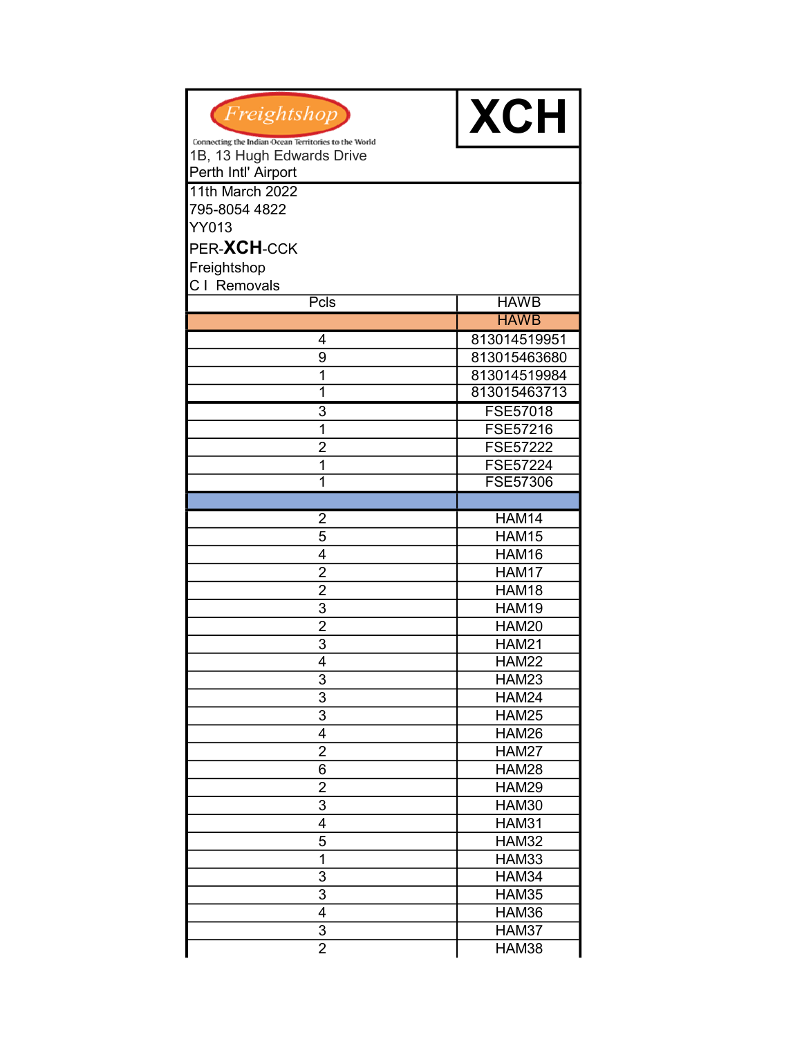| Freightshop                                          | <b>XCH</b>      |
|------------------------------------------------------|-----------------|
| Connecting the Indian Ocean Territories to the World |                 |
| 1B, 13 Hugh Edwards Drive<br>Perth Intl' Airport     |                 |
| 11th March 2022                                      |                 |
| 795-8054 4822                                        |                 |
| YY013                                                |                 |
|                                                      |                 |
| PER-XCH-CCK                                          |                 |
| Freightshop                                          |                 |
| C I Removals                                         |                 |
| Pcls                                                 | <b>HAWB</b>     |
|                                                      | <b>HAWB</b>     |
| 4                                                    | 813014519951    |
| 9                                                    | 813015463680    |
| 1                                                    | 813014519984    |
| 1                                                    | 813015463713    |
| 3                                                    | FSE57018        |
| 1                                                    | FSE57216        |
| $\overline{2}$                                       | <b>FSE57222</b> |
| 1                                                    | FSE57224        |
| 1                                                    | <b>FSE57306</b> |
|                                                      |                 |
| 2                                                    | <b>HAM14</b>    |
| $\overline{5}$                                       | HAM15           |
| 4                                                    | HAM16           |
| $\overline{2}$                                       | HAM17           |
| $\overline{2}$                                       | HAM18           |
| $\overline{3}$                                       | <b>HAM19</b>    |
| $\overline{2}$                                       | HAM20           |
| 3                                                    | <b>HAM21</b>    |
| 4                                                    | <b>HAM22</b>    |
| 3                                                    | HAM23           |
| 3                                                    | HAM24           |
| $\overline{3}$                                       | <b>HAM25</b>    |
| $\overline{\mathbf{4}}$                              | <b>HAM26</b>    |
| $\overline{2}$                                       | <b>HAM27</b>    |
| 6                                                    | <b>HAM28</b>    |
| $\overline{2}$                                       | <b>HAM29</b>    |
| 3                                                    | <b>HAM30</b>    |
| 4                                                    | <b>HAM31</b>    |
| 5                                                    | <b>HAM32</b>    |
| 1                                                    | <b>HAM33</b>    |
| 3                                                    | HAM34           |
| 3                                                    | <b>HAM35</b>    |
| 4                                                    | HAM36           |
| 3                                                    | HAM37           |
| $\overline{2}$                                       | HAM38           |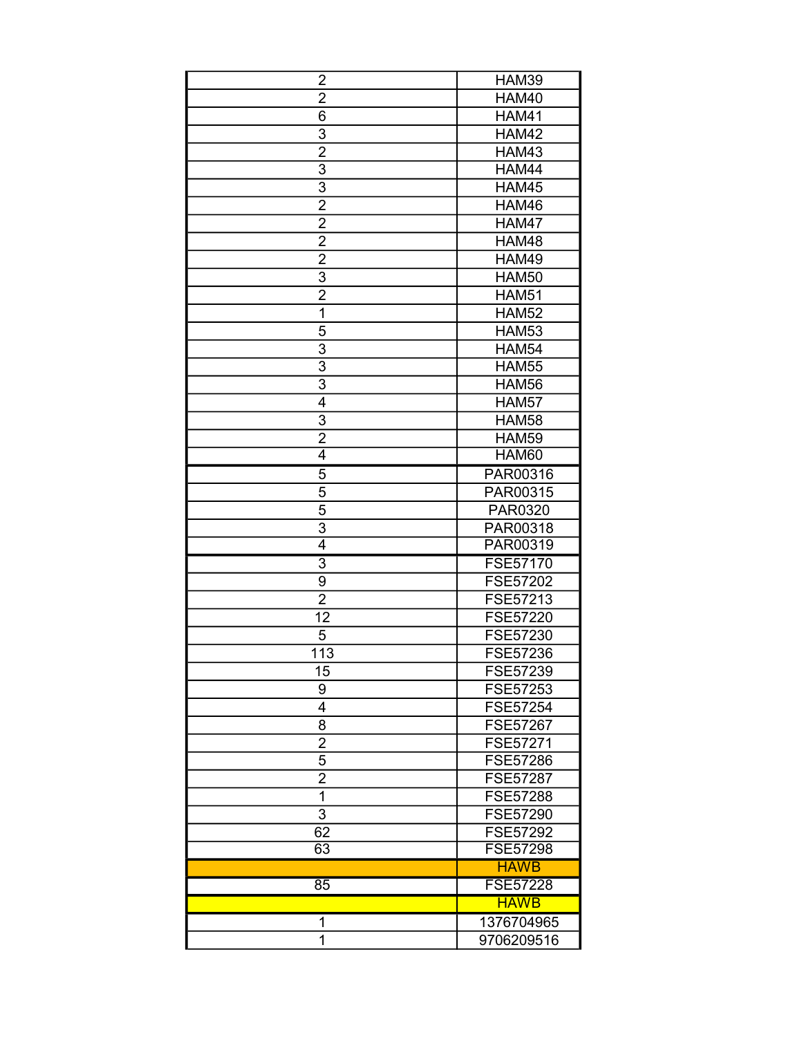| $\overline{2}$  | <b>HAM39</b>    |  |
|-----------------|-----------------|--|
| $\overline{2}$  | <b>HAM40</b>    |  |
| 6               | <b>HAM41</b>    |  |
| 3               | <b>HAM42</b>    |  |
| $\overline{2}$  | <b>HAM43</b>    |  |
| $\overline{3}$  | HAM44           |  |
| $\overline{3}$  | HAM45           |  |
| $\overline{2}$  | HAM46           |  |
| $\overline{2}$  | HAM47           |  |
| $\overline{2}$  | <b>HAM48</b>    |  |
| $\overline{2}$  | <b>HAM49</b>    |  |
| 3               | <b>HAM50</b>    |  |
| $\overline{2}$  | <b>HAM51</b>    |  |
| 1               | <b>HAM52</b>    |  |
| 5               | <b>HAM53</b>    |  |
| 3               | <b>HAM54</b>    |  |
| $\overline{3}$  | <b>HAM55</b>    |  |
| 3               | <b>HAM56</b>    |  |
| $\overline{4}$  | <b>HAM57</b>    |  |
| $\overline{3}$  | <b>HAM58</b>    |  |
| $\overline{2}$  | <b>HAM59</b>    |  |
| 4               | HAM60           |  |
| 5               | PAR00316        |  |
| $\overline{5}$  | PAR00315        |  |
| $\overline{5}$  | PAR0320         |  |
| 3               | PAR00318        |  |
| $\overline{4}$  | PAR00319        |  |
| 3               | <b>FSE57170</b> |  |
| 9               | FSE57202        |  |
| $\overline{2}$  | FSE57213        |  |
| 12              | FSE57220        |  |
| 5               | FSE57230        |  |
| 113             | FSE57236        |  |
| 15              | FSE57239        |  |
| 9               | FSE57253        |  |
| 4               | FSE57254        |  |
| 8               | <b>FSE57267</b> |  |
| $\overline{2}$  | <b>FSE57271</b> |  |
| 5               | FSE57286        |  |
| $\overline{2}$  | FSE57287        |  |
| 1               | FSE57288        |  |
| $\overline{3}$  | FSE57290        |  |
| 62              | FSE57292        |  |
| 63              | <b>FSE57298</b> |  |
|                 | <b>HAWB</b>     |  |
| $\overline{85}$ | <b>FSE57228</b> |  |
|                 | <b>HAWB</b>     |  |
| 1               | 1376704965      |  |
| 1               | 9706209516      |  |